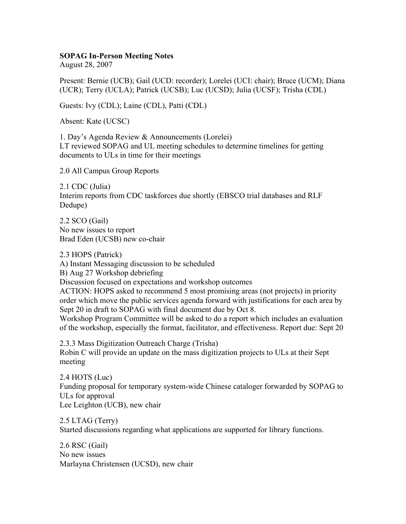## **SOPAG In-Person Meeting Notes**

August 28, 2007

Present: Bernie (UCB); Gail (UCD: recorder); Lorelei (UCI: chair); Bruce (UCM); Diana (UCR); Terry (UCLA); Patrick (UCSB); Luc (UCSD); Julia (UCSF); Trisha (CDL)

Guests: Ivy (CDL); Laine (CDL), Patti (CDL)

Absent: Kate (UCSC)

1. Day's Agenda Review & Announcements (Lorelei) LT reviewed SOPAG and UL meeting schedules to determine timelines for getting documents to ULs in time for their meetings

2.0 All Campus Group Reports

2.1 CDC (Julia) Interim reports from CDC taskforces due shortly (EBSCO trial databases and RLF Dedupe)

2.2 SCO (Gail) No new issues to report Brad Eden (UCSB) new co-chair

2.3 HOPS (Patrick) A) Instant Messaging discussion to be scheduled B) Aug 27 Workshop debriefing Discussion focused on expectations and workshop outcomes ACTION: HOPS asked to recommend 5 most promising areas (not projects) in priority order which move the public services agenda forward with justifications for each area by Sept 20 in draft to SOPAG with final document due by Oct 8. Workshop Program Committee will be asked to do a report which includes an evaluation of the workshop, especially the format, facilitator, and effectiveness. Report due: Sept 20

2.3.3 Mass Digitization Outreach Charge (Trisha) Robin C will provide an update on the mass digitization projects to ULs at their Sept meeting

2.4 HOTS (Luc) Funding proposal for temporary system-wide Chinese cataloger forwarded by SOPAG to ULs for approval Lee Leighton (UCB), new chair

2.5 LTAG (Terry) Started discussions regarding what applications are supported for library functions.

2.6 RSC (Gail) No new issues Marlayna Christensen (UCSD), new chair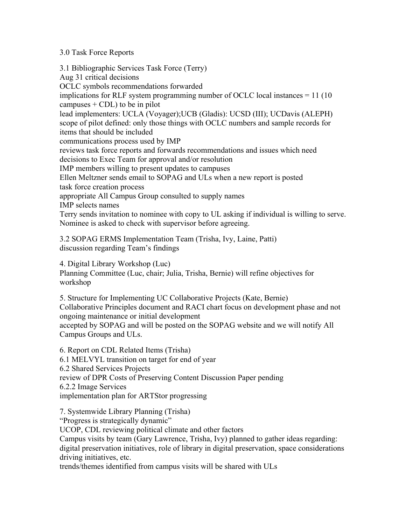## 3.0 Task Force Reports

3.1 Bibliographic Services Task Force (Terry) Aug 31 critical decisions OCLC symbols recommendations forwarded implications for RLF system programming number of OCLC local instances = 11 (10 campuses  $+$  CDL) to be in pilot lead implementers: UCLA (Voyager);UCB (Gladis): UCSD (III); UCDavis (ALEPH) scope of pilot defined: only those things with OCLC numbers and sample records for items that should be included communications process used by IMP reviews task force reports and forwards recommendations and issues which need decisions to Exec Team for approval and/or resolution IMP members willing to present updates to campuses Ellen Meltzner sends email to SOPAG and ULs when a new report is posted task force creation process appropriate All Campus Group consulted to supply names IMP selects names Terry sends invitation to nominee with copy to UL asking if individual is willing to serve. Nominee is asked to check with supervisor before agreeing.

3.2 SOPAG ERMS Implementation Team (Trisha, Ivy, Laine, Patti) discussion regarding Team's findings

4. Digital Library Workshop (Luc)

Planning Committee (Luc, chair; Julia, Trisha, Bernie) will refine objectives for workshop

5. Structure for Implementing UC Collaborative Projects (Kate, Bernie) Collaborative Principles document and RACI chart focus on development phase and not ongoing maintenance or initial development accepted by SOPAG and will be posted on the SOPAG website and we will notify All Campus Groups and ULs.

6. Report on CDL Related Items (Trisha) 6.1 MELVYL transition on target for end of year 6.2 Shared Services Projects review of DPR Costs of Preserving Content Discussion Paper pending 6.2.2 Image Services implementation plan for ARTStor progressing

7. Systemwide Library Planning (Trisha)

"Progress is strategically dynamic"

UCOP, CDL reviewing political climate and other factors

Campus visits by team (Gary Lawrence, Trisha, Ivy) planned to gather ideas regarding: digital preservation initiatives, role of library in digital preservation, space considerations driving initiatives, etc.

trends/themes identified from campus visits will be shared with ULs